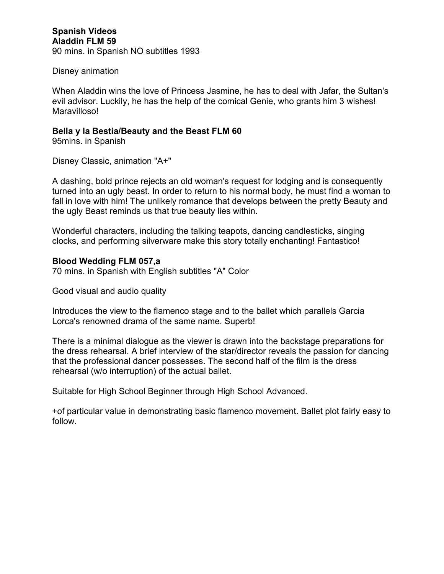Disney animation

When Aladdin wins the love of Princess Jasmine, he has to deal with Jafar, the Sultan's evil advisor. Luckily, he has the help of the comical Genie, who grants him 3 wishes! Maravilloso!

# **Bella y la Bestia/Beauty and the Beast FLM 60**

95mins. in Spanish

Disney Classic, animation "A+"

A dashing, bold prince rejects an old woman's request for lodging and is consequently turned into an ugly beast. In order to return to his normal body, he must find a woman to fall in love with him! The unlikely romance that develops between the pretty Beauty and the ugly Beast reminds us that true beauty lies within.

Wonderful characters, including the talking teapots, dancing candlesticks, singing clocks, and performing silverware make this story totally enchanting! Fantastico!

## **Blood Wedding FLM 057,a**

70 mins. in Spanish with English subtitles "A" Color

Good visual and audio quality

Introduces the view to the flamenco stage and to the ballet which parallels Garcia Lorca's renowned drama of the same name. Superb!

There is a minimal dialogue as the viewer is drawn into the backstage preparations for the dress rehearsal. A brief interview of the star/director reveals the passion for dancing that the professional dancer possesses. The second half of the film is the dress rehearsal (w/o interruption) of the actual ballet.

Suitable for High School Beginner through High School Advanced.

+of particular value in demonstrating basic flamenco movement. Ballet plot fairly easy to follow.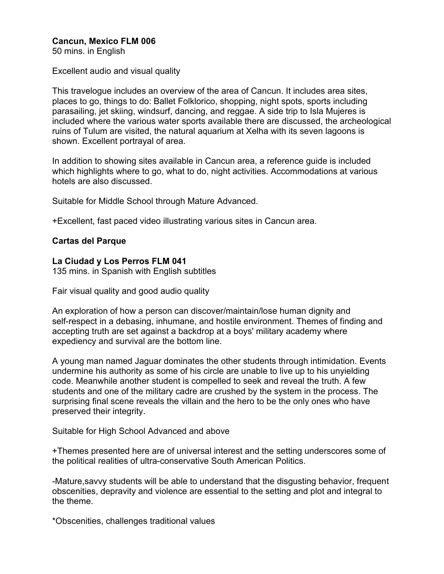# **Cancun, Mexico FLM 006**

50 mins. in English

Excellent audio and visual quality

This travelogue includes an overview of the area of Cancun. It includes area sites, places to go, things to do: Ballet Folklorico, shopping, night spots, sports including parasailing, jet skiing, windsurf, dancing, and reggae. A side trip to Isla Mujeres is included where the various water sports available there are discussed, the archeological ruins of Tulum are visited, the natural aquarium at Xelha with its seven lagoons is shown. Excellent portrayal of area.

In addition to showing sites available in Cancun area, a reference guide is included which highlights where to go, what to do, night activities. Accommodations at various hotels are also discussed.

Suitable for Middle School through Mature Advanced.

+Excellent, fast paced video illustrating various sites in Cancun area.

## **Cartas del Parque**

### **La Ciudad y Los Perros FLM 041**

135 mins. in Spanish with English subtitles

Fair visual quality and good audio quality

An exploration of how a person can discover/maintain/lose human dignity and self-respect in a debasing, inhumane, and hostile environment. Themes of finding and accepting truth are set against a backdrop at a boys' military academy where expediency and survival are the bottom line.

A young man named Jaguar dominates the other students through intimidation. Events undermine his authority as some of his circle are unable to live up to his unyielding code. Meanwhile another student is compelled to seek and reveal the truth. A few students and one of the military cadre are crushed by the system in the process. The surprising final scene reveals the villain and the hero to be the only ones who have preserved their integrity.

Suitable for High School Advanced and above

+Themes presented here are of universal interest and the setting underscores some of the political realities of ultra-conservative South American Politics.

-Mature,savvy students will be able to understand that the disgusting behavior, frequent obscenities, depravity and violence are essential to the setting and plot and integral to the theme.

\*Obscenities, challenges traditional values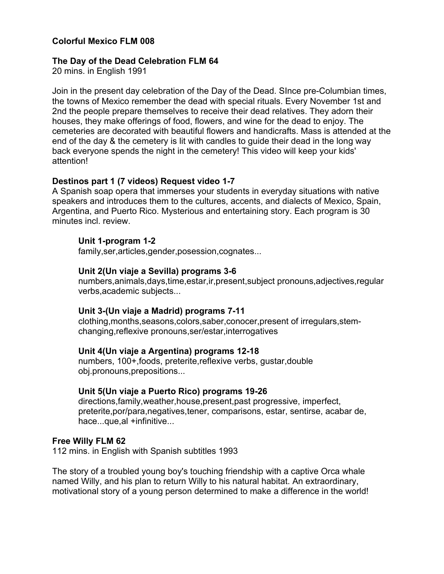# **Colorful Mexico FLM 008**

#### **The Day of the Dead Celebration FLM 64**

20 mins. in English 1991

Join in the present day celebration of the Day of the Dead. SInce pre-Columbian times, the towns of Mexico remember the dead with special rituals. Every November 1st and 2nd the people prepare themselves to receive their dead relatives. They adorn their houses, they make offerings of food, flowers, and wine for the dead to enjoy. The cemeteries are decorated with beautiful flowers and handicrafts. Mass is attended at the end of the day & the cemetery is lit with candles to guide their dead in the long way back everyone spends the night in the cemetery! This video will keep your kids' attention!

### **Destinos part 1 (7 videos) Request video 1-7**

A Spanish soap opera that immerses your students in everyday situations with native speakers and introduces them to the cultures, accents, and dialects of Mexico, Spain, Argentina, and Puerto Rico. Mysterious and entertaining story. Each program is 30 minutes incl. review.

#### **Unit 1-program 1-2**

family,ser,articles,gender,posession,cognates...

### **Unit 2(Un viaje a Sevilla) programs 3-6**

numbers,animals,days,time,estar,ir,present,subject pronouns,adjectives,regular verbs,academic subjects...

#### **Unit 3-(Un viaje a Madrid) programs 7-11**

clothing,months,seasons,colors,saber,conocer,present of irregulars,stemchanging,reflexive pronouns,ser/estar,interrogatives

#### **Unit 4(Un viaje a Argentina) programs 12-18**

numbers, 100+,foods, preterite,reflexive verbs, gustar,double obj.pronouns,prepositions...

#### **Unit 5(Un viaje a Puerto Rico) programs 19-26**

directions,family,weather,house,present,past progressive, imperfect, preterite,por/para,negatives,tener, comparisons, estar, sentirse, acabar de, hace...que,al +infinitive...

#### **Free Willy FLM 62**

112 mins. in English with Spanish subtitles 1993

The story of a troubled young boy's touching friendship with a captive Orca whale named Willy, and his plan to return Willy to his natural habitat. An extraordinary, motivational story of a young person determined to make a difference in the world!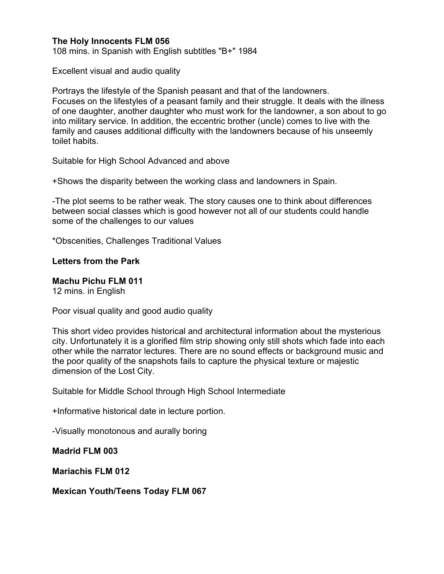# **The Holy Innocents FLM 056**

108 mins. in Spanish with English subtitles "B+" 1984

Excellent visual and audio quality

Portrays the lifestyle of the Spanish peasant and that of the landowners. Focuses on the lifestyles of a peasant family and their struggle. It deals with the illness of one daughter, another daughter who must work for the landowner, a son about to go into military service. In addition, the eccentric brother (uncle) comes to live with the family and causes additional difficulty with the landowners because of his unseemly toilet habits.

Suitable for High School Advanced and above

+Shows the disparity between the working class and landowners in Spain.

-The plot seems to be rather weak. The story causes one to think about differences between social classes which is good however not all of our students could handle some of the challenges to our values

\*Obscenities, Challenges Traditional Values

## **Letters from the Park**

# **Machu Pichu FLM 011**

12 mins. in English

Poor visual quality and good audio quality

This short video provides historical and architectural information about the mysterious city. Unfortunately it is a glorified film strip showing only still shots which fade into each other while the narrator lectures. There are no sound effects or background music and the poor quality of the snapshots fails to capture the physical texture or majestic dimension of the Lost City.

Suitable for Middle School through High School Intermediate

+Informative historical date in lecture portion.

-Visually monotonous and aurally boring

**Madrid FLM 003**

**Mariachis FLM 012**

### **Mexican Youth/Teens Today FLM 067**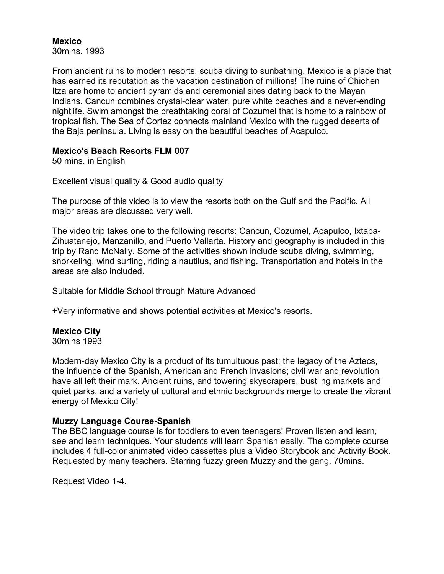## **Mexico**

30mins. 1993

From ancient ruins to modern resorts, scuba diving to sunbathing. Mexico is a place that has earned its reputation as the vacation destination of millions! The ruins of Chichen Itza are home to ancient pyramids and ceremonial sites dating back to the Mayan Indians. Cancun combines crystal-clear water, pure white beaches and a never-ending nightlife. Swim amongst the breathtaking coral of Cozumel that is home to a rainbow of tropical fish. The Sea of Cortez connects mainland Mexico with the rugged deserts of the Baja peninsula. Living is easy on the beautiful beaches of Acapulco.

# **Mexico's Beach Resorts FLM 007**

50 mins. in English

Excellent visual quality & Good audio quality

The purpose of this video is to view the resorts both on the Gulf and the Pacific. All major areas are discussed very well.

The video trip takes one to the following resorts: Cancun, Cozumel, Acapulco, Ixtapa-Zihuatanejo, Manzanillo, and Puerto Vallarta. History and geography is included in this trip by Rand McNally. Some of the activities shown include scuba diving, swimming, snorkeling, wind surfing, riding a nautilus, and fishing. Transportation and hotels in the areas are also included.

Suitable for Middle School through Mature Advanced

+Very informative and shows potential activities at Mexico's resorts.

# **Mexico City**

30mins 1993

Modern-day Mexico City is a product of its tumultuous past; the legacy of the Aztecs, the influence of the Spanish, American and French invasions; civil war and revolution have all left their mark. Ancient ruins, and towering skyscrapers, bustling markets and quiet parks, and a variety of cultural and ethnic backgrounds merge to create the vibrant energy of Mexico City!

# **Muzzy Language Course-Spanish**

The BBC language course is for toddlers to even teenagers! Proven listen and learn, see and learn techniques. Your students will learn Spanish easily. The complete course includes 4 full-color animated video cassettes plus a Video Storybook and Activity Book. Requested by many teachers. Starring fuzzy green Muzzy and the gang. 70mins.

Request Video 1-4.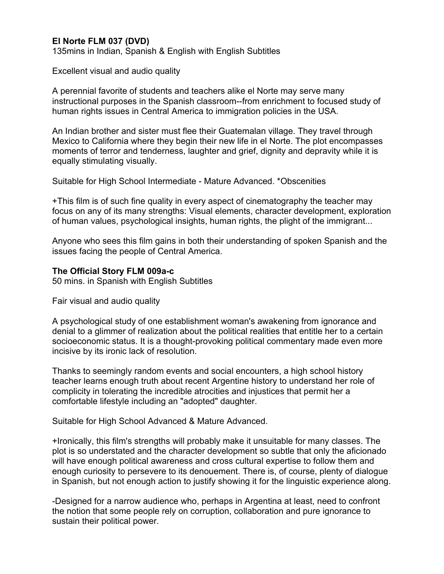# **El Norte FLM 037 (DVD)**

135mins in Indian, Spanish & English with English Subtitles

Excellent visual and audio quality

A perennial favorite of students and teachers alike el Norte may serve many instructional purposes in the Spanish classroom--from enrichment to focused study of human rights issues in Central America to immigration policies in the USA.

An Indian brother and sister must flee their Guatemalan village. They travel through Mexico to California where they begin their new life in el Norte. The plot encompasses moments of terror and tenderness, laughter and grief, dignity and depravity while it is equally stimulating visually.

Suitable for High School Intermediate - Mature Advanced. \*Obscenities

+This film is of such fine quality in every aspect of cinematography the teacher may focus on any of its many strengths: Visual elements, character development, exploration of human values, psychological insights, human rights, the plight of the immigrant...

Anyone who sees this film gains in both their understanding of spoken Spanish and the issues facing the people of Central America.

## **The Official Story FLM 009a-c**

50 mins. in Spanish with English Subtitles

Fair visual and audio quality

A psychological study of one establishment woman's awakening from ignorance and denial to a glimmer of realization about the political realities that entitle her to a certain socioeconomic status. It is a thought-provoking political commentary made even more incisive by its ironic lack of resolution.

Thanks to seemingly random events and social encounters, a high school history teacher learns enough truth about recent Argentine history to understand her role of complicity in tolerating the incredible atrocities and injustices that permit her a comfortable lifestyle including an "adopted" daughter.

Suitable for High School Advanced & Mature Advanced.

+Ironically, this film's strengths will probably make it unsuitable for many classes. The plot is so understated and the character development so subtle that only the aficionado will have enough political awareness and cross cultural expertise to follow them and enough curiosity to persevere to its denouement. There is, of course, plenty of dialogue in Spanish, but not enough action to justify showing it for the linguistic experience along.

-Designed for a narrow audience who, perhaps in Argentina at least, need to confront the notion that some people rely on corruption, collaboration and pure ignorance to sustain their political power.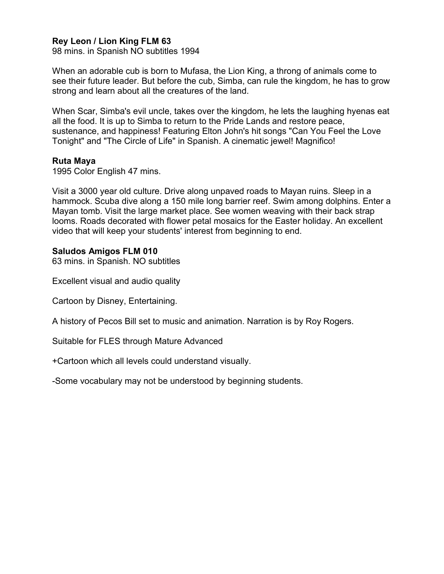# **Rey Leon / Lion King FLM 63**

98 mins. in Spanish NO subtitles 1994

When an adorable cub is born to Mufasa, the Lion King, a throng of animals come to see their future leader. But before the cub, Simba, can rule the kingdom, he has to grow strong and learn about all the creatures of the land.

When Scar, Simba's evil uncle, takes over the kingdom, he lets the laughing hyenas eat all the food. It is up to Simba to return to the Pride Lands and restore peace, sustenance, and happiness! Featuring Elton John's hit songs "Can You Feel the Love Tonight" and "The Circle of Life" in Spanish. A cinematic jewel! Magnifico!

### **Ruta Maya**

1995 Color English 47 mins.

Visit a 3000 year old culture. Drive along unpaved roads to Mayan ruins. Sleep in a hammock. Scuba dive along a 150 mile long barrier reef. Swim among dolphins. Enter a Mayan tomb. Visit the large market place. See women weaving with their back strap looms. Roads decorated with flower petal mosaics for the Easter holiday. An excellent video that will keep your students' interest from beginning to end.

## **Saludos Amigos FLM 010**

63 mins. in Spanish. NO subtitles

Excellent visual and audio quality

Cartoon by Disney, Entertaining.

A history of Pecos Bill set to music and animation. Narration is by Roy Rogers.

Suitable for FLES through Mature Advanced

+Cartoon which all levels could understand visually.

-Some vocabulary may not be understood by beginning students.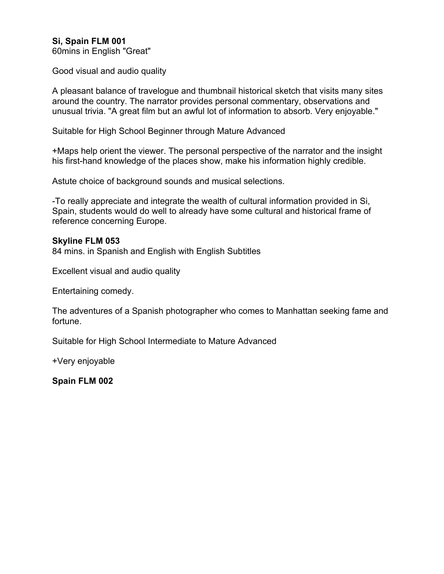# **Si, Spain FLM 001**

60mins in English "Great"

Good visual and audio quality

A pleasant balance of travelogue and thumbnail historical sketch that visits many sites around the country. The narrator provides personal commentary, observations and unusual trivia. "A great film but an awful lot of information to absorb. Very enjoyable."

Suitable for High School Beginner through Mature Advanced

+Maps help orient the viewer. The personal perspective of the narrator and the insight his first-hand knowledge of the places show, make his information highly credible.

Astute choice of background sounds and musical selections.

-To really appreciate and integrate the wealth of cultural information provided in Si, Spain, students would do well to already have some cultural and historical frame of reference concerning Europe.

### **Skyline FLM 053**

84 mins. in Spanish and English with English Subtitles

Excellent visual and audio quality

Entertaining comedy.

The adventures of a Spanish photographer who comes to Manhattan seeking fame and fortune.

Suitable for High School Intermediate to Mature Advanced

+Very enjoyable

**Spain FLM 002**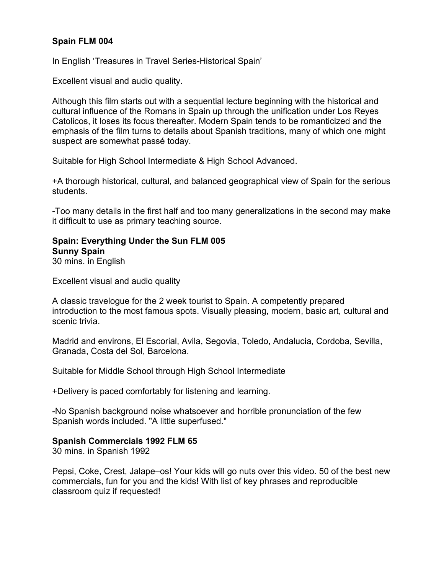# **Spain FLM 004**

In English 'Treasures in Travel Series-Historical Spain'

Excellent visual and audio quality.

Although this film starts out with a sequential lecture beginning with the historical and cultural influence of the Romans in Spain up through the unification under Los Reyes Catolicos, it loses its focus thereafter. Modern Spain tends to be romanticized and the emphasis of the film turns to details about Spanish traditions, many of which one might suspect are somewhat passé today.

Suitable for High School Intermediate & High School Advanced.

+A thorough historical, cultural, and balanced geographical view of Spain for the serious students.

-Too many details in the first half and too many generalizations in the second may make it difficult to use as primary teaching source.

### **Spain: Everything Under the Sun FLM 005 Sunny Spain**  30 mins. in English

Excellent visual and audio quality

A classic travelogue for the 2 week tourist to Spain. A competently prepared introduction to the most famous spots. Visually pleasing, modern, basic art, cultural and scenic trivia.

Madrid and environs, El Escorial, Avila, Segovia, Toledo, Andalucia, Cordoba, Sevilla, Granada, Costa del Sol, Barcelona.

Suitable for Middle School through High School Intermediate

+Delivery is paced comfortably for listening and learning.

-No Spanish background noise whatsoever and horrible pronunciation of the few Spanish words included. "A little superfused."

# **Spanish Commercials 1992 FLM 65**

30 mins. in Spanish 1992

Pepsi, Coke, Crest, Jalape–os! Your kids will go nuts over this video. 50 of the best new commercials, fun for you and the kids! With list of key phrases and reproducible classroom quiz if requested!